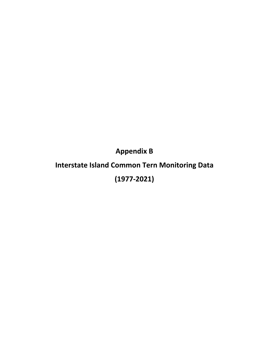**Appendix B**

## **Interstate Island Common Tern Monitoring Data (1977‐2021)**